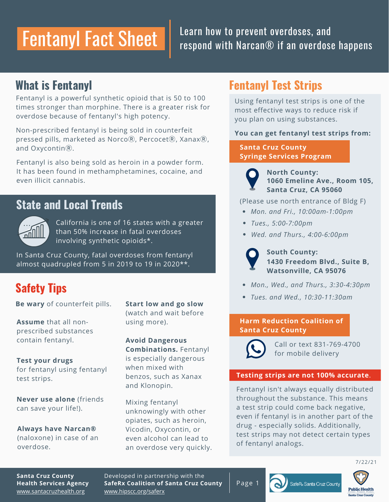## Fentanyl Fact Sheet

### Learn how to prevent overdoses, and respond with Narcan® if an overdose happens

## **What is Fentanyl**

Fentanyl is a powerful synthetic opioid that is 50 to 100 times stronger than morphine. There is a greater risk for overdose because of fentanyl's high potency.

Non-prescribed fentanyl is being sold in counterfeit pressed pills, marketed as Norco $R$ , Percocet $R$ , Xanax $R$ , and Oxycontin®.

Fentanyl is also being sold as heroin in a powder form. It has been found in methamphetamines, cocaine, and even illicit cannabis.

## **State and Local Trends**



California is one of 16 states with a greater than 50% increase in fatal overdoses involving synthetic opioids\*.

In Santa Cruz County, fatal overdoses from fentanyl almost quadrupled from 5 in 2019 to 19 in 2020\*\*.

## **Safety Tips**

**Be wary** of counterfeit pills.

**Assume** that all nonprescribed substances contain fentanyl.

for fentanyl using fentanyl test strips. **Test your drugs**

**Never use alone** (friends can save your life!).

**Always have Narcan®** (naloxone) in case of an overdose.

**Start low and go slow** (watch and wait before using more).

**Avoid Dangerous Combinations.** Fentanyl is especially dangerous when mixed with benzos, such as Xanax and Klonopin.

Mixing fentanyl unknowingly with other opiates, such as heroin, Vicodin, Oxycontin, or even alcohol can lead to an overdose very quickly.

## **Fentanyl Test Strips**

Using fentanyl test strips is one of the most effective ways to reduce risk if you plan on using substances.

#### **You can get fentanyl test strips from:**

**Santa Cruz County Syringe Services Program**

**North County: Santa Cruz, CA 95060 1060 Emeline Ave., Room 105,**

(Please use north entrance of Bldg F)

- *Mon. and Fri., 10:00am-1:00pm*
- *Tues., 5:00-7:00pm*
- *Wed. and Thurs., 4:00-6:00pm*



**South County: 1430 Freedom Blvd., Suite B, Watsonville, CA 95076**

- *Mon., Wed., and Thurs., 3:30-4:30pm*
- *Tues. and Wed., 10:30-11:30am*

#### **Santa Cruz County Harm Reduction Coalition of**



Call or text 831-769-4700 for mobile delivery

#### **Testing strips are not 100% accurate**.

Fentanyl isn't always equally distributed throughout the substance. This means a test strip could come back negative, even if fentanyl is in another part of the drug - especially solids. Additionally, test strips may not detect certain types of fentanyl analogs.

7/22/21

[www.santacruzhealth.org](http://www.santacruzhealth.org/) **Santa Cruz County Health Services Agency** Developed in partnership with the **SafeRx Coalition of Santa Cruz County** [www.hipscc.org/saferx](http://www.hipscc.org/saferx)

Page 1